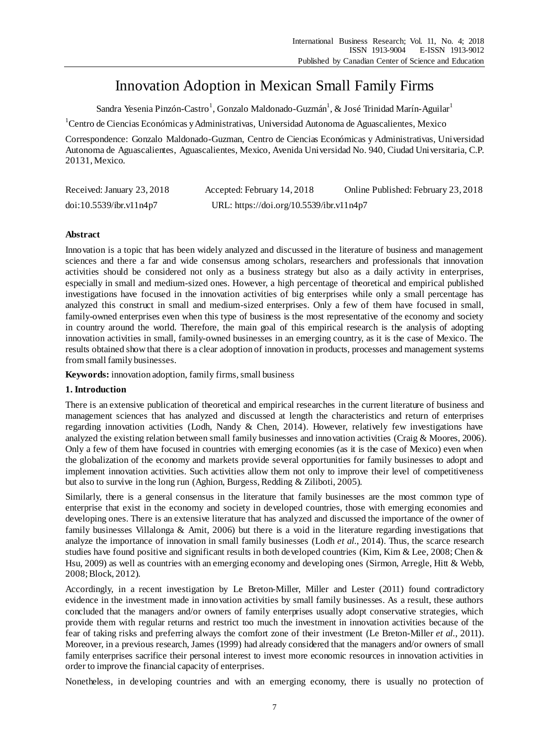# Innovation Adoption in Mexican Small Family Firms

Sandra Yesenia Pinzón-Castro<sup>1</sup>, Gonzalo Maldonado-Guzmán<sup>1</sup>, & Jos é Trinidad Mar ín-Aguilar<sup>1</sup>

<sup>1</sup>Centro de Ciencias Económicas y Administrativas, Universidad Autonoma de Aguascalientes, Mexico

Correspondence: Gonzalo Maldonado-Guzman, Centro de Ciencias Económicas y Administrativas, Universidad Autonoma de Aguascalientes, Aguascalientes, Mexico, Avenida Universidad No. 940, Ciudad Universitaria, C.P. 20131, Mexico.

| Received: January 23, 2018 | Accepted: February 14, 2018              | Online Published: February 23, 2018 |
|----------------------------|------------------------------------------|-------------------------------------|
| doi:10.5539/ibr.v11n4p7    | URL: https://doi.org/10.5539/ibr.v11n4p7 |                                     |

# **Abstract**

Innovation is a topic that has been widely analyzed and discussed in the literature of business and management sciences and there a far and wide consensus among scholars, researchers and professionals that innovation activities should be considered not only as a business strategy but also as a daily activity in enterprises, especially in small and medium-sized ones. However, a high percentage of theoretical and empirical published investigations have focused in the innovation activities of big enterprises while only a small percentage has analyzed this construct in small and medium-sized enterprises. Only a few of them have focused in small, family-owned enterprises even when this type of business is the most representative of the economy and society in country around the world. Therefore, the main goal of this empirical research is the analysis of adopting innovation activities in small, family-owned businesses in an emerging country, as it is the case of Mexico. The results obtained show that there is a clear adoption of innovation in products, processes and management systems from small family businesses.

**Keywords:** innovation adoption, family firms, small business

# **1. Introduction**

There is an extensive publication of theoretical and empirical researches in the current literature of business and management sciences that has analyzed and discussed at length the characteristics and return of enterprises regarding innovation activities (Lodh, Nandy & Chen, 2014). However, relatively few investigations have analyzed the existing relation between small family businesses and innovation activities (Craig & Moores, 2006). Only a few of them have focused in countries with emerging economies (as it is the case of Mexico) even when the globalization of the economy and markets provide several opportunities for family businesses to adopt and implement innovation activities. Such activities allow them not only to improve their level of competitiveness but also to survive in the long run (Aghion, Burgess, Redding & Ziliboti, 2005).

Similarly, there is a general consensus in the literature that family businesses are the most common type of enterprise that exist in the economy and society in developed countries, those with emerging economies and developing ones. There is an extensive literature that has analyzed and discussed the importance of the owner of family businesses Villalonga & Amit, 2006) but there is a void in the literature regarding investigations that analyze the importance of innovation in small family businesses (Lodh *et al.*, 2014). Thus, the scarce research studies have found positive and significant results in both developed countries (Kim, Kim & Lee, 2008; Chen & Hsu, 2009) as well as countries with an emerging economy and developing ones (Sirmon, Arregle, Hitt & Webb, 2008; Block, 2012).

Accordingly, in a recent investigation by Le Breton-Miller, Miller and Lester (2011) found contradictory evidence in the investment made in innovation activities by small family businesses. As a result, these authors concluded that the managers and/or owners of family enterprises usually adopt conservative strategies, which provide them with regular returns and restrict too much the investment in innovation activities because of the fear of taking risks and preferring always the comfort zone of their investment (Le Breton-Miller *et al.*, 2011). Moreover, in a previous research, James (1999) had already considered that the managers and/or owners of small family enterprises sacrifice their personal interest to invest more economic resources in innovation activities in order to improve the financial capacity of enterprises.

Nonetheless, in developing countries and with an emerging economy, there is usually no protection of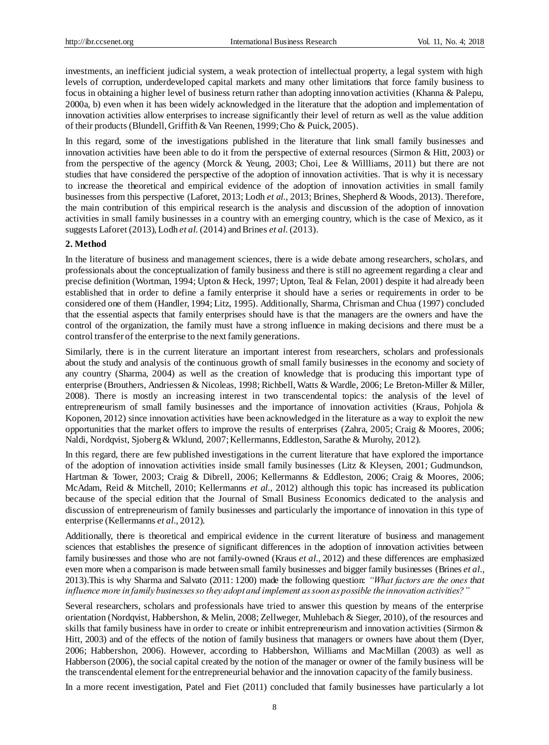investments, an inefficient judicial system, a weak protection of intellectual property, a legal system with high levels of corruption, underdeveloped capital markets and many other limitations that force family business to focus in obtaining a higher level of business return rather than adopting innovation activities (Khanna & Palepu, 2000a, b) even when it has been widely acknowledged in the literature that the adoption and implementation of innovation activities allow enterprises to increase significantly their level of return as well as the value addition of their products (Blundell, Griffith & Van Reenen, 1999; Cho & Puick, 2005).

In this regard, some of the investigations published in the literature that link small family businesses and innovation activities have been able to do it from the perspective of external resources (Sirmon & Hitt, 2003) or from the perspective of the agency (Morck & Yeung, 2003; Choi, Lee & Willliams, 2011) but there are not studies that have considered the perspective of the adoption of innovation activities. That is why it is necessary to increase the theoretical and empirical evidence of the adoption of innovation activities in small family businesses from this perspective (Laforet, 2013; Lodh *et al.*, 2013; Brines, Shepherd & Woods, 2013). Therefore, the main contribution of this empirical research is the analysis and discussion of the adoption of innovation activities in small family businesses in a country with an emerging country, which is the case of Mexico, as it suggests Laforet (2013), Lodh *et al.* (2014) and Brines *et al.* (2013).

#### **2. Method**

In the literature of business and management sciences, there is a wide debate among researchers, scholars, and professionals about the conceptualization of family business and there is still no agreement regarding a clear and precise definition (Wortman, 1994; Upton & Heck, 1997; Upton, Teal & Felan, 2001) despite it had already been established that in order to define a family enterprise it should have a series or requirements in order to be considered one of them (Handler, 1994; Litz, 1995). Additionally, Sharma, Chrisman and Chua (1997) concluded that the essential aspects that family enterprises should have is that the managers are the owners and have the control of the organization, the family must have a strong influence in making decisions and there must be a control transfer of the enterprise to the next family generations.

Similarly, there is in the current literature an important interest from researchers, scholars and professionals about the study and analysis of the continuous growth of small family businesses in the economy and society of any country (Sharma, 2004) as well as the creation of knowledge that is producing this important type of enterprise (Brouthers, Andriessen & Nicoleas, 1998; Richbell, Watts & Wardle, 2006; Le Breton-Miller & Miller, 2008). There is mostly an increasing interest in two transcendental topics: the analysis of the level of entrepreneurism of small family businesses and the importance of innovation activities (Kraus, Pohjola & Koponen, 2012) since innovation activities have been acknowledged in the literature as a way to exploit the new opportunities that the market offers to improve the results of enterprises (Zahra, 2005; Craig & Moores, 2006; Naldi, Nordqvist, Sjoberg & Wklund, 2007; Kellermanns, Eddleston, Sarathe & Murohy, 2012).

In this regard, there are few published investigations in the current literature that have explored the importance of the adoption of innovation activities inside small family businesses (Litz & Kleysen, 2001; Gudmundson, Hartman & Tower, 2003; Craig & Dibrell, 2006; Kellermanns & Eddleston, 2006; Craig & Moores, 2006; McAdam, Reid & Mitchell, 2010; Kellermanns *et al.*, 2012) although this topic has increased its publication because of the special edition that the Journal of Small Business Economics dedicated to the analysis and discussion of entrepreneurism of family businesses and particularly the importance of innovation in this type of enterprise (Kellermanns *et al.*, 2012).

Additionally, there is theoretical and empirical evidence in the current literature of business and management sciences that establishes the presence of significant differences in the adoption of innovation activities between family businesses and those who are not family-owned (Kraus *et al.*, 2012) and these differences are emphasized even more when a comparison is made between small family businesses and bigger family businesses (Brines *et al.*, 2013).This is why Sharma and Salvato (2011: 1200) made the following question: *"What factors are the ones that influence more in family businesses so they adopt and implement as soon as possible the innovation activities?"*

Several researchers, scholars and professionals have tried to answer this question by means of the enterprise orientation (Nordqvist, Habbershon, & Melin, 2008; Zellweger, Muhlebach & Sieger, 2010), of the resources and skills that family business have in order to create or inhibit entrepreneurism and innovation activities (Sirmon & Hitt, 2003) and of the effects of the notion of family business that managers or owners have about them (Dyer, 2006; Habbershon, 2006). However, according to Habbershon, Williams and MacMillan (2003) as well as Habberson (2006), the social capital created by the notion of the manager or owner of the family business will be the transcendental element for the entrepreneurial behavior and the innovation capacity of the family business.

In a more recent investigation, Patel and Fiet (2011) concluded that family businesses have particularly a lot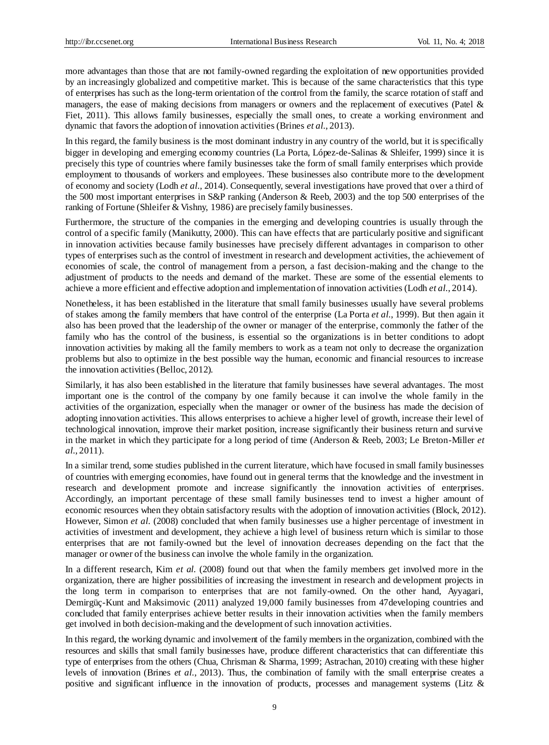more advantages than those that are not family-owned regarding the exploitation of new opportunities provided by an increasingly globalized and competitive market. This is because of the same characteristics that this type of enterprises has such as the long-term orientation of the control from the family, the scarce rotation of staff and managers, the ease of making decisions from managers or owners and the replacement of executives (Patel & Fiet, 2011). This allows family businesses, especially the small ones, to create a working environment and dynamic that favors the adoption of innovation activities (Brines *et al.*, 2013).

In this regard, the family business is the most dominant industry in any country of the world, but it is specifically bigger in developing and emerging economy countries (La Porta, López-de-Salinas & Shleifer, 1999) since it is precisely this type of countries where family businesses take the form of small family enterprises which provide employment to thousands of workers and employees. These businesses also contribute more to the development of economy and society (Lodh *et al.*, 2014). Consequently, several investigations have proved that over a third of the 500 most important enterprises in S&P ranking (Anderson & Reeb, 2003) and the top 500 enterprises of the ranking of Fortune (Shleifer & Vishny, 1986) are precisely family businesses.

Furthermore, the structure of the companies in the emerging and developing countries is usually through the control of a specific family (Manikutty, 2000). This can have effects that are particularly positive and significant in innovation activities because family businesses have precisely different advantages in comparison to other types of enterprises such as the control of investment in research and development activities, the achievement of economies of scale, the control of management from a person, a fast decision-making and the change to the adjustment of products to the needs and demand of the market. These are some of the essential elements to achieve a more efficient and effective adoption and implementation of innovation activities (Lodh *et al.*, 2014).

Nonetheless, it has been established in the literature that small family businesses usually have several problems of stakes among the family members that have control of the enterprise (La Porta *et al.*, 1999). But then again it also has been proved that the leadership of the owner or manager of the enterprise, commonly the father of the family who has the control of the business, is essential so the organizations is in better conditions to adopt innovation activities by making all the family members to work as a team not only to decrease the organization problems but also to optimize in the best possible way the human, economic and financial resources to increase the innovation activities (Belloc, 2012).

Similarly, it has also been established in the literature that family businesses have several advantages. The most important one is the control of the company by one family because it can involve the whole family in the activities of the organization, especially when the manager or owner of the business has made the decision of adopting innovation activities. This allows enterprises to achieve a higher level of growth, increase their level of technological innovation, improve their market position, increase significantly their business return and survive in the market in which they participate for a long period of time (Anderson & Reeb, 2003; Le Breton-Miller *et al.*, 2011).

In a similar trend, some studies published in the current literature, which have focused in small family businesses of countries with emerging economies, have found out in general terms that the knowledge and the investment in research and development promote and increase significantly the innovation activities of enterprises. Accordingly, an important percentage of these small family businesses tend to invest a higher amount of economic resources when they obtain satisfactory results with the adoption of innovation activities (Block, 2012). However, Simon *et al.* (2008) concluded that when family businesses use a higher percentage of investment in activities of investment and development, they achieve a high level of business return which is similar to those enterprises that are not family-owned but the level of innovation decreases depending on the fact that the manager or owner of the business can involve the whole family in the organization.

In a different research, Kim *et al.* (2008) found out that when the family members get involved more in the organization, there are higher possibilities of increasing the investment in research and development projects in the long term in comparison to enterprises that are not family-owned. On the other hand, Ayyagari, Demirgüç-Kunt and Maksimovic (2011) analyzed 19,000 family businesses from 47developing countries and concluded that family enterprises achieve better results in their innovation activities when the family members get involved in both decision-making and the development of such innovation activities.

In this regard, the working dynamic and involvement of the family members in the organization, combined with the resources and skills that small family businesses have, produce different characteristics that can differentiate this type of enterprises from the others (Chua, Chrisman & Sharma, 1999; Astrachan, 2010) creating with these higher levels of innovation (Brines *et al.*, 2013). Thus, the combination of family with the small enterprise creates a positive and significant influence in the innovation of products, processes and management systems (Litz &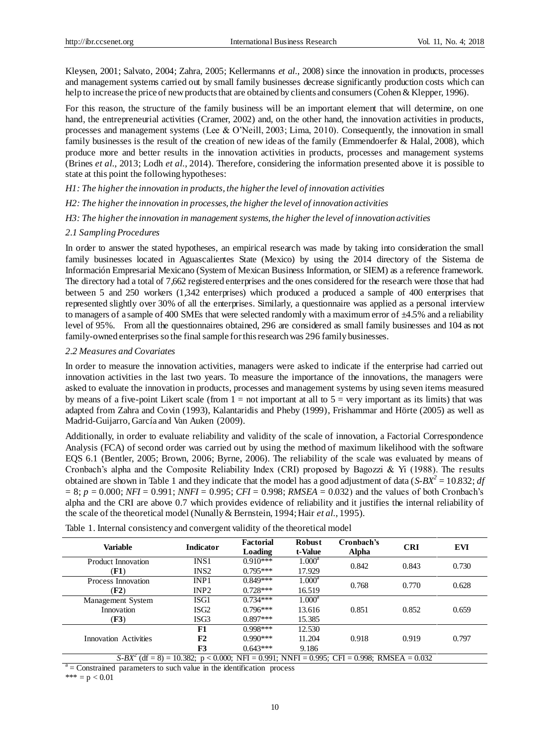Kleysen, 2001; Salvato, 2004; Zahra, 2005; Kellermanns *et al.*, 2008) since the innovation in products, processes and management systems carried out by small family businesses decrease significantly production costs which can help to increase the price of new products that are obtained by clients and consumers (Cohen & Klepper, 1996).

For this reason, the structure of the family business will be an important element that will determine, on one hand, the entrepreneurial activities (Cramer, 2002) and, on the other hand, the innovation activities in products, processes and management systems (Lee & O'Neill, 2003; Lima, 2010). Consequently, the innovation in small family businesses is the result of the creation of new ideas of the family (Emmendoerfer & Halal, 2008), which produce more and better results in the innovation activities in products, processes and management systems (Brines *et al.*, 2013; Lodh *et al.*, 2014). Therefore, considering the information presented above it is possible to state at this point the following hypotheses:

*H1: The higher the innovation in products, the higher the level of innovation activities*

*H2: The higher the innovation in processes, the higher the level of innovation activities*

*H3: The higher the innovation in management systems, the higher the level of innovation activities*

## *2.1 Sampling Procedures*

In order to answer the stated hypotheses, an empirical research was made by taking into consideration the small family businesses located in Aguascalientes State (Mexico) by using the 2014 directory of the Sistema de Información Empresarial Mexicano (System of Mexican Business Information, or SIEM) as a reference framework. The directory had a total of 7,662 registered enterprises and the ones considered for the research were those that had between 5 and 250 workers (1,342 enterprises) which produced a produced a sample of 400 enterprises that represented slightly over 30% of all the enterprises. Similarly, a questionnaire was applied as a personal interview to managers of a sample of 400 SMEs that were selected randomly with a maximum error of  $\pm$ 4.5% and a reliability level of 95%. From all the questionnaires obtained, 296 are considered as small family businesses and 104 as not family-owned enterprises so the final sample for this research was 296 family businesses.

#### *2.2 Measures and Covariates*

In order to measure the innovation activities, managers were asked to indicate if the enterprise had carried out innovation activities in the last two years. To measure the importance of the innovations, the managers were asked to evaluate the innovation in products, processes and management systems by using seven items measured by means of a five-point Likert scale (from  $1 = not$  important at all to  $5 =$  very important as its limits) that was adapted from Zahra and Covin (1993), Kalantaridis and Pheby (1999), Frishammar and Hörte (2005) as well as Madrid-Guijarro, Garc á and Van Auken (2009).

Additionally, in order to evaluate reliability and validity of the scale of innovation, a Factorial Correspondence Analysis (FCA) of second order was carried out by using the method of maximum likelihood with the software EQS 6.1 (Bentler, 2005; Brown, 2006; Byrne, 2006). The reliability of the scale was evaluated by means of Cronbach's alpha and the Composite Reliability Index (CRI) proposed by Bagozzi & Yi (1988). The results obtained are shown in Table 1 and they indicate that the model has a good adjustment of data ( $S-BX^2 = 10.832$ ; *df* = 8; *p* = 0.000; *NFI* = 0.991; *NNFI* = 0.995; *CFI* = 0.998; *RMSEA* = 0.032) and the values of both Cronbach's alpha and the CRI are above 0.7 which provides evidence of reliability and it justifies the internal reliability of the scale of the theoretical model (Nunally & Bernstein, 1994; Hair *et al.*, 1995).

| <b>Indicator</b> | Factorial<br>Loading | <b>Robust</b><br>t-Value | Cronbach's<br>Alpha | <b>CRI</b> | <b>EVI</b> |
|------------------|----------------------|--------------------------|---------------------|------------|------------|
| INS <sub>1</sub> | $0.910***$           | $1.000^{\rm a}$          |                     |            | 0.730      |
| INS <sub>2</sub> | $0.795***$           | 17.929                   |                     |            |            |
| INP1             | $0.849***$           | $1.000^{\rm a}$          | 0.768               | 0.770      | 0.628      |
| INP2             | $0.728***$           | 16.519                   |                     |            |            |
| ISG1             | $0.734***$           | $1.000^{\rm a}$          | 0.851               | 0.852      |            |
| ISG <sub>2</sub> | $0.796***$           | 13.616                   |                     |            | 0.659      |
| ISG3             | $0.897***$           | 15.385                   |                     |            |            |
| F1               | $0.998***$           | 12.530                   | 0.918               | 0.919      |            |
| F2               | $0.990***$           | 11.204                   |                     |            | 0.797      |
| F3               | $0.643***$           | 9.186                    |                     |            |            |
|                  |                      |                          |                     | 0.842      | 0.843      |

Table 1. Internal consistency and convergent validity of the theoretical model

 $a =$ Constrained parameters to such value in the identification process

 $*** = p < 0.01$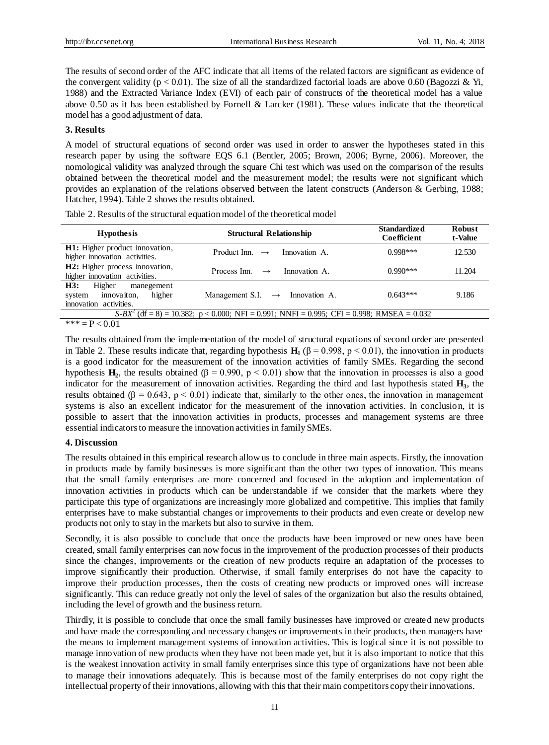The results of second order of the AFC indicate that all items of the related factors are significant as evidence of the convergent validity ( $p < 0.01$ ). The size of all the standardized factorial loads are above 0.60 (Bagozzi & Yi, 1988) and the Extracted Variance Index (EVI) of each pair of constructs of the theoretical model has a value above 0.50 as it has been established by Fornell & Larcker (1981). These values indicate that the theoretical model has a good adjustment of data.

## **3. Results**

A model of structural equations of second order was used in order to answer the hypotheses stated in this research paper by using the software EQS 6.1 (Bentler, 2005; Brown, 2006; Byrne, 2006). Moreover, the nomological validity was analyzed through the square Chi test which was used on the comparison of the results obtained between the theoretical model and the measurement model; the results were not significant which provides an explanation of the relations observed between the latent constructs (Anderson & Gerbing, 1988; Hatcher, 1994). Table 2 shows the results obtained.

| <b>Hypothesis</b>                                                                            | <b>Structural Relationship</b>              | <b>Standardized</b><br>Coefficient | <b>Robust</b><br>t-Value |  |  |  |
|----------------------------------------------------------------------------------------------|---------------------------------------------|------------------------------------|--------------------------|--|--|--|
| <b>H1:</b> Higher product innovation,<br>higher innovation activities.                       | Product Inn. $\rightarrow$<br>Innovation A. | $0.998***$                         | 12.530                   |  |  |  |
| H2: Higher process innovation,<br>higher innovation activities.                              | Innovation A.<br>Process Inn. $\rightarrow$ | $0.990***$                         | 11.204                   |  |  |  |
| Higher<br>H3:<br>manegement<br>higher<br>innovaiton,<br>system<br>innovation activities.     | Management S.I. $\rightarrow$ Innovation A. | $0.643***$                         | 9.186                    |  |  |  |
| $S-BX^2$ (df = 8) = 10.382; p < 0.000; NFI = 0.991; NNFI = 0.995; CFI = 0.998; RMSEA = 0.032 |                                             |                                    |                          |  |  |  |
| *** = $P < 0.01$                                                                             |                                             |                                    |                          |  |  |  |

Table 2. Results of the structural equation model of the theoretical model

The results obtained from the implementation of the model of structural equations of second order are presented in Table 2. These results indicate that, regarding hypothesis  $H_1$  ( $\beta$  = 0.998,  $p$  < 0.01), the innovation in products is a good indicator for the measurement of the innovation activities of family SMEs. Regarding the second hypothesis **H**<sub>2</sub>, the results obtained (β = 0.990,  $p < 0.01$ ) show that the innovation in processes is also a good indicator for the measurement of innovation activities. Regarding the third and last hypothesis stated **H<sup>3</sup>** , the results obtained ( $\beta = 0.643$ ,  $p < 0.01$ ) indicate that, similarly to the other ones, the innovation in management systems is also an excellent indicator for the measurement of the innovation activities. In conclusion, it is possible to assert that the innovation activities in products, processes and management systems are three essential indicators to measure the innovation activities in family SMEs.

#### **4. Discussion**

The results obtained in this empirical research allow us to conclude in three main aspects. Firstly, the innovation in products made by family businesses is more significant than the other two types of innovation. This means that the small family enterprises are more concerned and focused in the adoption and implementation of innovation activities in products which can be understandable if we consider that the markets where they participate this type of organizations are increasingly more globalized and competitive. This implies that family enterprises have to make substantial changes or improvements to their products and even create or develop new products not only to stay in the markets but also to survive in them.

Secondly, it is also possible to conclude that once the products have been improved or new ones have been created, small family enterprises can now focus in the improvement of the production processes of their products since the changes, improvements or the creation of new products require an adaptation of the processes to improve significantly their production. Otherwise, if small family enterprises do not have the capacity to improve their production processes, then the costs of creating new products or improved ones will increase significantly. This can reduce greatly not only the level of sales of the organization but also the results obtained, including the level of growth and the business return.

Thirdly, it is possible to conclude that once the small family businesses have improved or created new products and have made the corresponding and necessary changes or improvements in their products, then managers have the means to implement management systems of innovation activities. This is logical since it is not possible to manage innovation of new products when they have not been made yet, but it is also important to notice that this is the weakest innovation activity in small family enterprises since this type of organizations have not been able to manage their innovations adequately. This is because most of the family enterprises do not copy right the intellectual property of their innovations, allowing with this that their main competitors copy their innovations.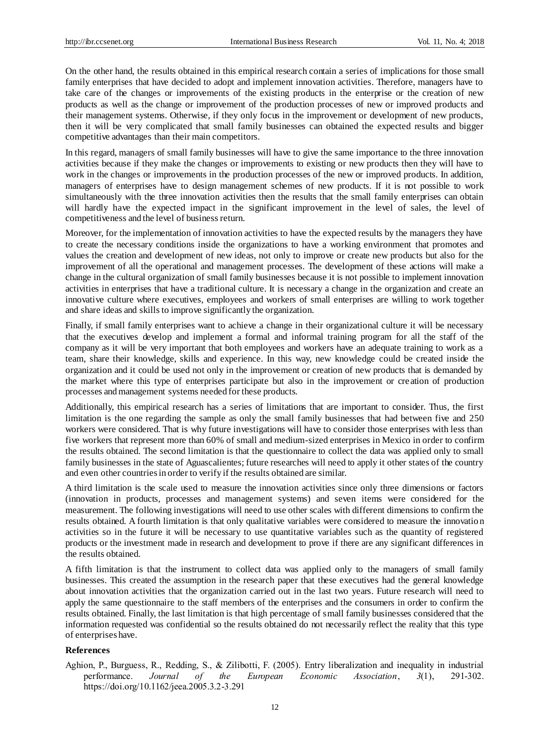On the other hand, the results obtained in this empirical research contain a series of implications for those small family enterprises that have decided to adopt and implement innovation activities. Therefore, managers have to take care of the changes or improvements of the existing products in the enterprise or the creation of new products as well as the change or improvement of the production processes of new or improved products and their management systems. Otherwise, if they only focus in the improvement or development of new products, then it will be very complicated that small family businesses can obtained the expected results and bigger competitive advantages than their main competitors.

In this regard, managers of small family businesses will have to give the same importance to the three innovation activities because if they make the changes or improvements to existing or new products then they will have to work in the changes or improvements in the production processes of the new or improved products. In addition, managers of enterprises have to design management schemes of new products. If it is not possible to work simultaneously with the three innovation activities then the results that the small family enterprises can obtain will hardly have the expected impact in the significant improvement in the level of sales, the level of competitiveness and the level of business return.

Moreover, for the implementation of innovation activities to have the expected results by the managers they have to create the necessary conditions inside the organizations to have a working environment that promotes and values the creation and development of new ideas, not only to improve or create new products but also for the improvement of all the operational and management processes. The development of these actions will make a change in the cultural organization of small family businesses because it is not possible to implement innovation activities in enterprises that have a traditional culture. It is necessary a change in the organization and create an innovative culture where executives, employees and workers of small enterprises are willing to work together and share ideas and skills to improve significantly the organization.

Finally, if small family enterprises want to achieve a change in their organizational culture it will be necessary that the executives develop and implement a formal and informal training program for all the staff of the company as it will be very important that both employees and workers have an adequate training to work as a team, share their knowledge, skills and experience. In this way, new knowledge could be created inside the organization and it could be used not only in the improvement or creation of new products that is demanded by the market where this type of enterprises participate but also in the improvement or creation of production processes and management systems needed for these products.

Additionally, this empirical research has a series of limitations that are important to consider. Thus, the first limitation is the one regarding the sample as only the small family businesses that had between five and 250 workers were considered. That is why future investigations will have to consider those enterprises with less than five workers that represent more than 60% of small and medium-sized enterprises in Mexico in order to confirm the results obtained. The second limitation is that the questionnaire to collect the data was applied only to small family businesses in the state of Aguascalientes; future researches will need to apply it other states of the country and even other countries in order to verify if the results obtained are similar.

A third limitation is the scale used to measure the innovation activities since only three dimensions or factors (innovation in products, processes and management systems) and seven items were considered for the measurement. The following investigations will need to use other scales with different dimensions to confirm the results obtained. A fourth limitation is that only qualitative variables were considered to measure the innovatio n activities so in the future it will be necessary to use quantitative variables such as the quantity of registered products or the investment made in research and development to prove if there are any significant differences in the results obtained.

A fifth limitation is that the instrument to collect data was applied only to the managers of small family businesses. This created the assumption in the research paper that these executives had the general knowledge about innovation activities that the organization carried out in the last two years. Future research will need to apply the same questionnaire to the staff members of the enterprises and the consumers in order to confirm the results obtained. Finally, the last limitation is that high percentage of small family businesses considered that the information requested was confidential so the results obtained do not necessarily reflect the reality that this type of enterprises have.

#### **References**

Aghion, P., Burguess, R., Redding, S., & Zilibotti, F. (2005). Entry liberalization and inequality in industrial performance. *Journal of the European Economic Association*, *3*(1), 291-302. https://doi.org/10.1162/jeea.2005.3.2-3.291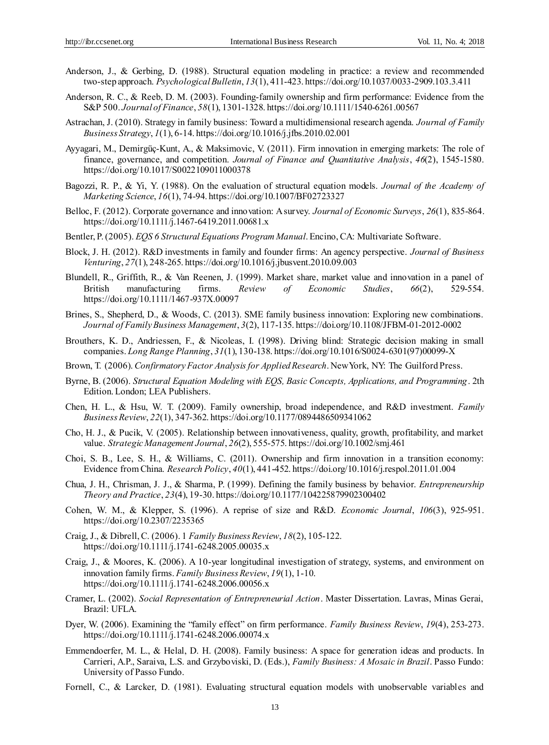- Anderson, J., & Gerbing, D. (1988). Structural equation modeling in practice: a review and recommended two-step approach. *Psychological Bulletin*, *13*(1), 411-423. https://doi.org/10.1037/0033-2909.103.3.411
- Anderson, R. C., & Reeb, D. M. (2003). Founding-family ownership and firm performance: Evidence from the S&P 500. *Journal of Finance*, *58*(1), 1301-1328. https://doi.org/10.1111/1540-6261.00567
- Astrachan, J. (2010). Strategy in family business: Toward a multidimensional research agenda. *Journal of Family Business Strategy*, *1*(1), 6-14. https://doi.org/10.1016/j.jfbs.2010.02.001
- Ayyagari, M., Demirgüç-Kunt, A., & Maksimovic, V. (2011). Firm innovation in emerging markets: The role of finance, governance, and competition. *Journal of Finance and Quantitative Analysis*, *46*(2), 1545-1580. https://doi.org/10.1017/S0022109011000378
- Bagozzi, R. P., & Yi, Y. (1988). On the evaluation of structural equation models. *Journal of the Academy of Marketing Science*, *16*(1), 74-94. https://doi.org/10.1007/BF02723327
- Belloc, F. (2012). Corporate governance and innovation: A survey. *Journal of Economic Surveys*, *26*(1), 835-864. https://doi.org/10.1111/j.1467-6419.2011.00681.x
- Bentler, P. (2005). *EQS 6 Structural Equations Program Manual*. Encino, CA: Multivariate Software.
- Block, J. H. (2012). R&D investments in family and founder firms: An agency perspective. *Journal of Business Venturing*, *27*(1), 248-265. https://doi.org/10.1016/j.jbusvent.2010.09.003
- Blundell, R., Griffith, R., & Van Reenen, J. (1999). Market share, market value and innovation in a panel of British manufacturing firms. *Review of Economic Studies*, *66*(2), 529-554. https://doi.org/10.1111/1467-937X.00097
- Brines, S., Shepherd, D., & Woods, C. (2013). SME family business innovation: Exploring new combinations. *Journal of Family Business Management*, *3*(2), 117-135. https://doi.org/10.1108/JFBM-01-2012-0002
- Brouthers, K. D., Andriessen, F., & Nicoleas, I. (1998). Driving blind: Strategic decision making in small companies. *Long Range Planning*, *31*(1), 130-138. https://doi.org/10.1016/S0024-6301(97)00099-X
- Brown, T. (2006). *Confirmatory Factor Analysis for Applied Research*. New York, NY: The Guilford Press.
- Byrne, B. (2006). *Structural Equation Modeling with EQS, Basic Concepts, Applications, and Programming*. 2th Edition. London; LEA Publishers.
- Chen, H. L., & Hsu, W. T. (2009). Family ownership, broad independence, and R&D investment. *Family Business Review*, *22*(1), 347-362. https://doi.org/10.1177/0894486509341062
- Cho, H. J., & Pucik, V. (2005). Relationship between innovativeness, quality, growth, profitability, and market value. *Strategic Management Journal*, *26*(2), 555-575. https://doi.org/10.1002/smj.461
- Choi, S. B., Lee, S. H., & Williams, C. (2011). Ownership and firm innovation in a transition economy: Evidence from China. *Research Policy*, *40*(1), 441-452. https://doi.org/10.1016/j.respol.2011.01.004
- Chua, J. H., Chrisman, J. J., & Sharma, P. (1999). Defining the family business by behavior. *Entrepreneurship Theory and Practice*, *23*(4), 19-30. https://doi.org/10.1177/104225879902300402
- Cohen, W. M., & Klepper, S. (1996). A reprise of size and R&D. *Economic Journal*, *106*(3), 925-951. https://doi.org/10.2307/2235365
- Craig, J., & Dibrell, C. (2006). 1 *Family Business Review*, *18*(2), 105-122. https://doi.org/10.1111/j.1741-6248.2005.00035.x
- Craig, J., & Moores, K. (2006). A 10-year longitudinal investigation of strategy, systems, and environment on innovation family firms. *Family Business Review*, *19*(1), 1-10. https://doi.org/10.1111/j.1741-6248.2006.00056.x
- Cramer, L. (2002). *Social Representation of Entrepreneurial Action*. Master Dissertation. Lavras, Minas Gerai, Brazil: UFLA.
- Dyer, W. (2006). Examining the "family effect" on firm performance. *Family Business Review*, *19*(4), 253-273. https://doi.org/10.1111/j.1741-6248.2006.00074.x
- Emmendoerfer, M. L., & Helal, D. H. (2008). Family business: A space for generation ideas and products. In Carrieri, A.P., Saraiva, L.S. and Grzyboviski, D. (Eds.), *Family Business: A Mosaic in Brazil*. Passo Fundo: University of Passo Fundo.
- Fornell, C., & Larcker, D. (1981). Evaluating structural equation models with unobservable variables and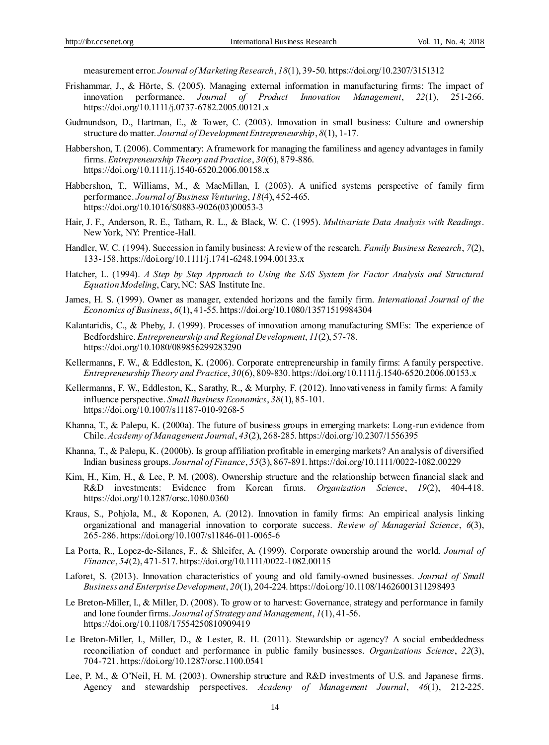measurement error. *Journal of Marketing Research*, *18*(1), 39-50. https://doi.org/10.2307/3151312

- Frishammar, J., & Hörte, S. (2005). Managing external information in manufacturing firms: The impact of innovation performance. *Journal of Product Innovation Management*, *22*(1), 251-266. https://doi.org/10.1111/j.0737-6782.2005.00121.x
- Gudmundson, D., Hartman, E., & Tower, C. (2003). Innovation in small business: Culture and ownership structure do matter. *Journal of Development Entrepreneurship*, *8*(1), 1-17.
- Habbershon, T. (2006). Commentary: A framework for managing the familiness and agency advantages in family firms. *Entrepreneurship Theory and Practice*, *30*(6), 879-886. https://doi.org/10.1111/j.1540-6520.2006.00158.x
- Habbershon, T., Williams, M., & MacMillan, I. (2003). A unified systems perspective of family firm performance. *Journal of Business Venturing*, *18*(4), 452-465. https://doi.org/10.1016/S0883-9026(03)00053-3
- Hair, J. F., Anderson, R. E., Tatham, R. L., & Black, W. C. (1995). *Multivariate Data Analysis with Readings*. New York, NY: Prentice-Hall.
- Handler, W. C. (1994). Succession in family business: A review of the research. *Family Business Research*, *7*(2), 133-158. https://doi.org/10.1111/j.1741-6248.1994.00133.x
- Hatcher, L. (1994). *A Step by Step Approach to Using the SAS System for Factor Analysis and Structural Equation Modeling*, Cary, NC: SAS Institute Inc.
- James, H. S. (1999). Owner as manager, extended horizons and the family firm. *International Journal of the Economics of Business*, *6*(1), 41-55. https://doi.org/10.1080/13571519984304
- Kalantaridis, C., & Pheby, J. (1999). Processes of innovation among manufacturing SMEs: The experience of Bedfordshire. *Entrepreneurship and Regional Development*, *11*(2), 57-78. https://doi.org/10.1080/089856299283290
- Kellermanns, F. W., & Eddleston, K. (2006). Corporate entrepreneurship in family firms: A family perspective. *Entrepreneurship Theory and Practice*, *30*(6), 809-830. https://doi.org/10.1111/j.1540-6520.2006.00153.x
- Kellermanns, F. W., Eddleston, K., Sarathy, R., & Murphy, F. (2012). Innovativeness in family firms: A family influence perspective. *Small Business Economics*, *38*(1), 85-101. https://doi.org/10.1007/s11187-010-9268-5
- Khanna, T., & Palepu, K. (2000a). The future of business groups in emerging markets: Long-run evidence from Chile. *Academy of Management Journal*, *43*(2), 268-285. https://doi.org/10.2307/1556395
- Khanna, T., & Palepu, K. (2000b). Is group affiliation profitable in emerging markets? An analysis of diversified Indian business groups. *Journal of Finance*, *55*(3), 867-891. https://doi.org/10.1111/0022-1082.00229
- Kim, H., Kim, H., & Lee, P. M. (2008). Ownership structure and the relationship between financial slack and R&D investments: Evidence from Korean firms. *Organization Science*, *19*(2), 404-418. https://doi.org/10.1287/orsc.1080.0360
- Kraus, S., Pohjola, M., & Koponen, A. (2012). Innovation in family firms: An empirical analysis linking organizational and managerial innovation to corporate success. *Review of Managerial Science*, *6*(3), 265-286. https://doi.org/10.1007/s11846-011-0065-6
- La Porta, R., Lopez-de-Silanes, F., & Shleifer, A. (1999). Corporate ownership around the world. *Journal of Finance*, *54*(2), 471-517. https://doi.org/10.1111/0022-1082.00115
- Laforet, S. (2013). Innovation characteristics of young and old family-owned businesses. *Journal of Small Business and Enterprise Development*, *20*(1), 204-224. https://doi.org/10.1108/14626001311298493
- Le Breton-Miller, I., & Miller, D. (2008). To grow or to harvest: Governance, strategy and performance in family and lone founder firms. *Journal of Strategy and Management*, *1*(1), 41-56. https://doi.org/10.1108/17554250810909419
- Le Breton-Miller, I., Miller, D., & Lester, R. H. (2011). Stewardship or agency? A social embeddedness reconciliation of conduct and performance in public family businesses. *Organizations Science*, *22*(3), 704-721. https://doi.org/10.1287/orsc.1100.0541
- Lee, P. M., & O'Neil, H. M. (2003). Ownership structure and R&D investments of U.S. and Japanese firms. Agency and stewardship perspectives. *Academy of Management Journal*, *46*(1), 212-225.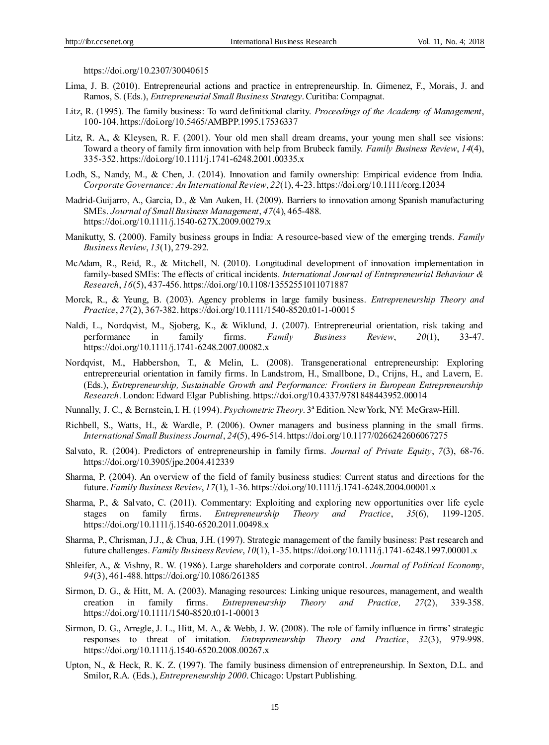https://doi.org/10.2307/30040615

- Lima, J. B. (2010). Entrepreneurial actions and practice in entrepreneurship. In. Gimenez, F., Morais, J. and Ramos, S. (Eds.), *Entrepreneurial Small Business Strategy*. Curitiba: Compagnat.
- Litz, R. (1995). The family business: To ward definitional clarity. *Proceedings of the Academy of Management*, 100-104. https://doi.org/10.5465/AMBPP.1995.17536337
- Litz, R. A., & Kleysen, R. F. (2001). Your old men shall dream dreams, your young men shall see visions: Toward a theory of family firm innovation with help from Brubeck family. *Family Business Review*, *14*(4), 335-352. https://doi.org/10.1111/j.1741-6248.2001.00335.x
- Lodh, S., Nandy, M., & Chen, J. (2014). Innovation and family ownership: Empirical evidence from India. *Corporate Governance: An International Review*, *22*(1), 4-23. https://doi.org/10.1111/corg.12034
- Madrid-Guijarro, A., Garcia, D., & Van Auken, H. (2009). Barriers to innovation among Spanish manufacturing SMEs. *Journal of Small Business Management*, *47*(4), 465-488. https://doi.org/10.1111/j.1540-627X.2009.00279.x
- Manikutty, S. (2000). Family business groups in India: A resource-based view of the emerging trends. *Family Business Review*, *13*(1), 279-292.
- McAdam, R., Reid, R., & Mitchell, N. (2010). Longitudinal development of innovation implementation in family-based SMEs: The effects of critical incidents. *International Journal of Entrepreneurial Behaviour & Research*, *16*(5), 437-456. https://doi.org/10.1108/13552551011071887
- Morck, R., & Yeung, B. (2003). Agency problems in large family business. *Entrepreneurship Theory and Practice*, *27*(2), 367-382. https://doi.org/10.1111/1540-8520.t01-1-00015
- Naldi, L., Nordqvist, M., Sjoberg, K., & Wiklund, J. (2007). Entrepreneurial orientation, risk taking and performance in family firms. *Family Business Review*, *20*(1), 33-47. https://doi.org/10.1111/j.1741-6248.2007.00082.x
- Nordqvist, M., Habbershon, T., & Melin, L. (2008). Transgenerational entrepreneurship: Exploring entrepreneurial orientation in family firms. In Landstrom, H., Smallbone, D., Crijns, H., and Lavern, E. (Eds.), *Entrepreneurship, Sustainable Growth and Performance: Frontiers in European Entrepreneurship Research*. London: Edward Elgar Publishing. https://doi.org/10.4337/9781848443952.00014
- Nunnally, J. C., & Bernstein, I. H. (1994). *Psychometric Theory*. 3ª Edition. New York, NY: McGraw-Hill.
- Richbell, S., Watts, H., & Wardle, P. (2006). Owner managers and business planning in the small firms. *International Small Business Journal*, *24*(5), 496-514. https://doi.org/10.1177/0266242606067275
- Salvato, R. (2004). Predictors of entrepreneurship in family firms. *Journal of Private Equity*, *7*(3), 68-76. https://doi.org/10.3905/jpe.2004.412339
- Sharma, P. (2004). An overview of the field of family business studies: Current status and directions for the future. *Family Business Review*, *17*(1), 1-36. https://doi.org/10.1111/j.1741-6248.2004.00001.x
- Sharma, P., & Salvato, C. (2011). Commentary: Exploiting and exploring new opportunities over life cycle stages on family firms. *Entrepreneurship Theory and Practice*, *35*(6), 1199-1205. https://doi.org/10.1111/j.1540-6520.2011.00498.x
- Sharma, P., Chrisman, J.J., & Chua, J.H. (1997). Strategic management of the family business: Past research and future challenges. *Family Business Review*, *10*(1), 1-35. https://doi.org/10.1111/j.1741-6248.1997.00001.x
- Shleifer, A., & Vishny, R. W. (1986). Large shareholders and corporate control. *Journal of Political Economy*, *94*(3), 461-488. https://doi.org/10.1086/261385
- Sirmon, D. G., & Hitt, M. A. (2003). Managing resources: Linking unique resources, management, and wealth creation in family firms. *Entrepreneurship Theory and Practice, 27*(2), 339-358. https://doi.org/10.1111/1540-8520.t01-1-00013
- Sirmon, D. G., Arregle, J. L., Hitt, M. A., & Webb, J. W. (2008). The role of family influence in firms' strategic responses to threat of imitation. *Entrepreneurship Theory and Practice*, *32*(3), 979-998. https://doi.org/10.1111/j.1540-6520.2008.00267.x
- Upton, N., & Heck, R. K. Z. (1997). The family business dimension of entrepreneurship. In Sexton, D.L. and Smilor, R.A. (Eds.), *Entrepreneurship 2000*. Chicago: Upstart Publishing.